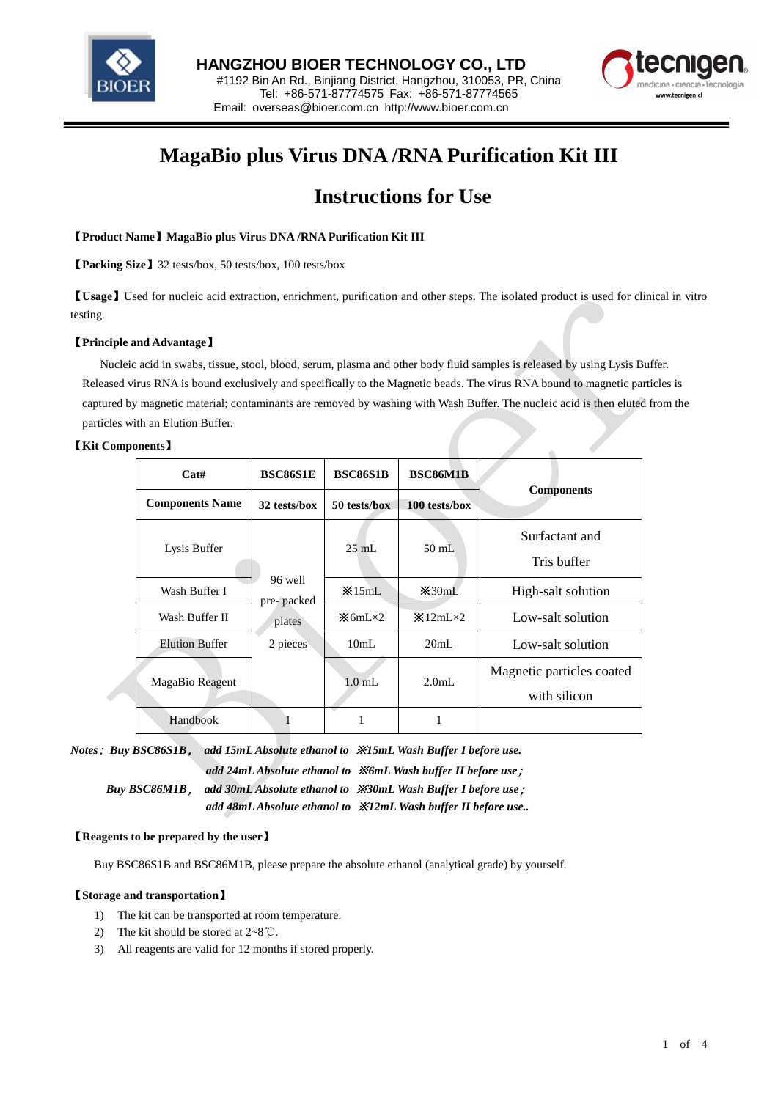



# **MagaBio plus Virus DNA /RNA Purification Kit III**

## **Instructions for Use**

## 【**Product Name**】**MagaBio plus Virus DNA /RNA Purification Kit III**

【**Packing Size**】32 tests/box, 50 tests/box, 100 tests/box

【**Usage**】Used for nucleic acid extraction, enrichment, purification and other steps. The isolated product is used for clinical in vitro testing.

## 【**Principle and Advantage**】

 Nucleic acid in swabs, tissue, stool, blood, serum, plasma and other body fluid samples is released by using Lysis Buffer. Released virus RNA is bound exclusively and specifically to the Magnetic beads. The virus RNA bound to magnetic particles is captured by magnetic material; contaminants are removed by washing with Wash Buffer. The nucleic acid is then eluted from the particles with an Elution Buffer.

## 【**Kit Components**】

| Cat#                   | <b>BSC86S1E</b>                             | <b>BSC86S1B</b>              | <b>BSC86M1B</b>                       |                           |
|------------------------|---------------------------------------------|------------------------------|---------------------------------------|---------------------------|
| <b>Components Name</b> | 32 tests/hox                                | 50 tests/box                 | 100 tests/box                         | <b>Components</b>         |
| Lysis Buffer           | 96 well<br>pre-packed<br>plates<br>2 pieces | $25 \text{ mL}$              | $50$ mL                               | Surfactant and            |
|                        |                                             |                              |                                       | Tris buffer               |
| Wash Buffer I          |                                             | $\frac{15}{2}$ MI.           | $\frac{125}{20}$ and $\frac{125}{20}$ | High-salt solution        |
| Wash Buffer II         |                                             | $\mathcal{K}$ 6mL $\times$ 2 | $\frac{12}{2}$ 12mL $\times$ 2        | Low-salt solution         |
| <b>Elution Buffer</b>  |                                             | 10mL                         | 20mL                                  | Low-salt solution         |
| MagaBio Reagent        |                                             | $1.0 \text{ mL}$             | 2.0 <sub>m</sub> I <sub>z</sub>       | Magnetic particles coated |
|                        |                                             |                              |                                       | with silicon              |
| Handbook               |                                             | п                            | 1                                     |                           |

*Notes*:*Buy BSC86S1B*, *add 15mL Absolute ethanol to* ※*15mL Wash Buffer I before use. add 24mL Absolute ethanol to* ※*6mL Wash buffer II before use*;  *Buy BSC86M1B*, *add 30mL Absolute ethanol to* ※*30mL Wash Buffer I before use*;  *add 48mL Absolute ethanol to* ※*12mL Wash buffer II before use..*

### 【**Reagents to be prepared by the user**】

Buy BSC86S1B and BSC86M1B, please prepare the absolute ethanol (analytical grade) by yourself.

### 【**Storage and transportation**】

- 1) The kit can be transported at room temperature.
- 2) The kit should be stored at 2~8℃.
- 3) All reagents are valid for 12 months if stored properly.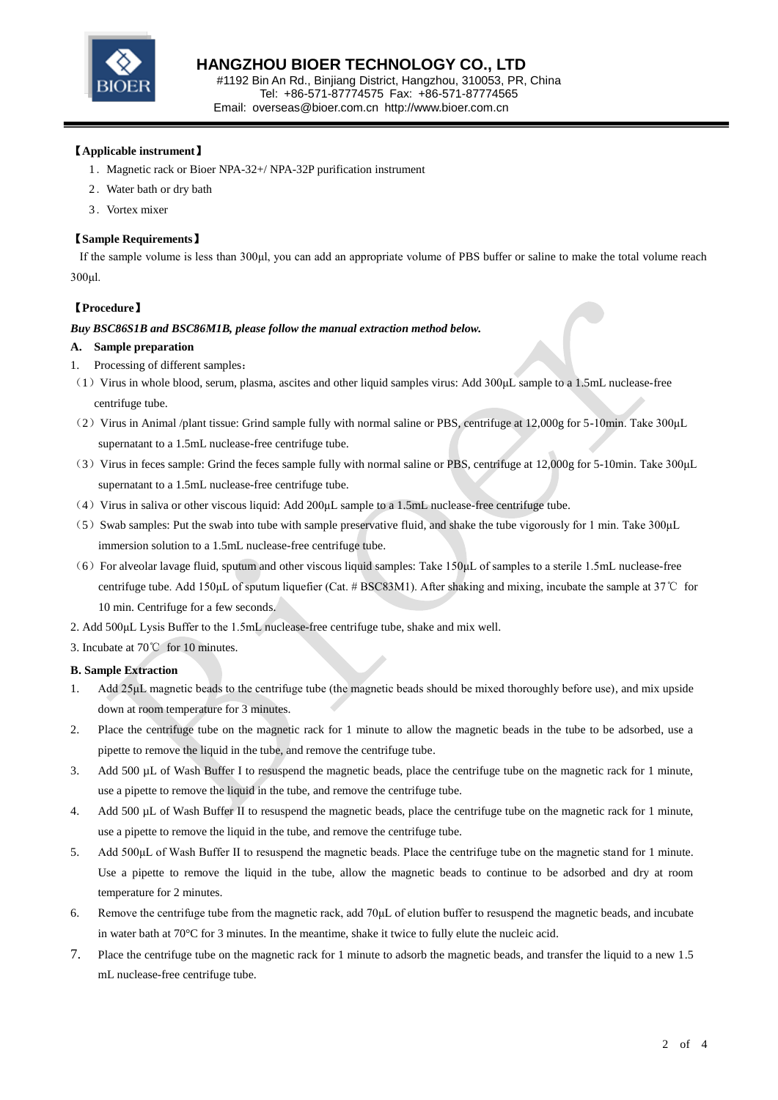

## 【**Applicable instrument**】

- 1.Magnetic rack or Bioer NPA-32+/ NPA-32P purification instrument
- 2.Water bath or dry bath
- 3.Vortex mixer

## 【**Sample Requirements**】

If the sample volume is less than 300μl, you can add an appropriate volume of PBS buffer or saline to make the total volume reach 300μl.

## 【**Procedure**】

### *Buy BSC86S1B and BSC86M1B, please follow the manual extraction method below.*

### **A. Sample preparation**

- 1. Processing of different samples:
- (1)Virus in whole blood, serum, plasma, ascites and other liquid samples virus: Add 300μL sample to a 1.5mL nuclease-free centrifuge tube.
- (2) Virus in Animal /plant tissue: Grind sample fully with normal saline or PBS, centrifuge at 12,000g for 5-10min. Take 300µL supernatant to a 1.5mL nuclease-free centrifuge tube.
- (3)Virus in feces sample: Grind the feces sample fully with normal saline or PBS, centrifuge at 12,000g for 5-10min. Take 300μL supernatant to a 1.5mL nuclease-free centrifuge tube.
- (4)Virus in saliva or other viscous liquid: Add 200μL sample to a 1.5mL nuclease-free centrifuge tube.
- (5) Swab samples: Put the swab into tube with sample preservative fluid, and shake the tube vigorously for 1 min. Take 300µL immersion solution to a 1.5mL nuclease-free centrifuge tube.
- $(6)$  For alveolar lavage fluid, sputum and other viscous liquid samples: Take 150 $\mu$ L of samples to a sterile 1.5mL nuclease-free centrifuge tube. Add 150μL of sputum liquefier (Cat. # BSC83M1). After shaking and mixing, incubate the sample at 37℃ for 10 min. Centrifuge for a few seconds.
- 2. Add 500μL Lysis Buffer to the 1.5mL nuclease-free centrifuge tube, shake and mix well.

3. Incubate at 70℃ for 10 minutes.

### **B. Sample Extraction**

- Add 25µL magnetic beads to the centrifuge tube (the magnetic beads should be mixed thoroughly before use), and mix upside down at room temperature for 3 minutes.
- 2. Place the centrifuge tube on the magnetic rack for 1 minute to allow the magnetic beads in the tube to be adsorbed, use a pipette to remove the liquid in the tube, and remove the centrifuge tube.
- 3. Add 500 µL of Wash Buffer I to resuspend the magnetic beads, place the centrifuge tube on the magnetic rack for 1 minute, use a pipette to remove the liquid in the tube, and remove the centrifuge tube.
- 4. Add 500 uL of Wash Buffer II to resuspend the magnetic beads, place the centrifuge tube on the magnetic rack for 1 minute. use a pipette to remove the liquid in the tube, and remove the centrifuge tube.
- 5. Add 500μL of Wash Buffer II to resuspend the magnetic beads. Place the centrifuge tube on the magnetic stand for 1 minute. Use a pipette to remove the liquid in the tube, allow the magnetic beads to continue to be adsorbed and dry at room temperature for 2 minutes.
- 6. Remove the centrifuge tube from the magnetic rack, add 70μL of elution buffer to resuspend the magnetic beads, and incubate in water bath at 70  $\mathbb C$  for 3 minutes. In the meantime, shake it twice to fully elute the nucleic acid.
- 7. Place the centrifuge tube on the magnetic rack for 1 minute to adsorb the magnetic beads, and transfer the liquid to a new 1.5 mL nuclease-free centrifuge tube.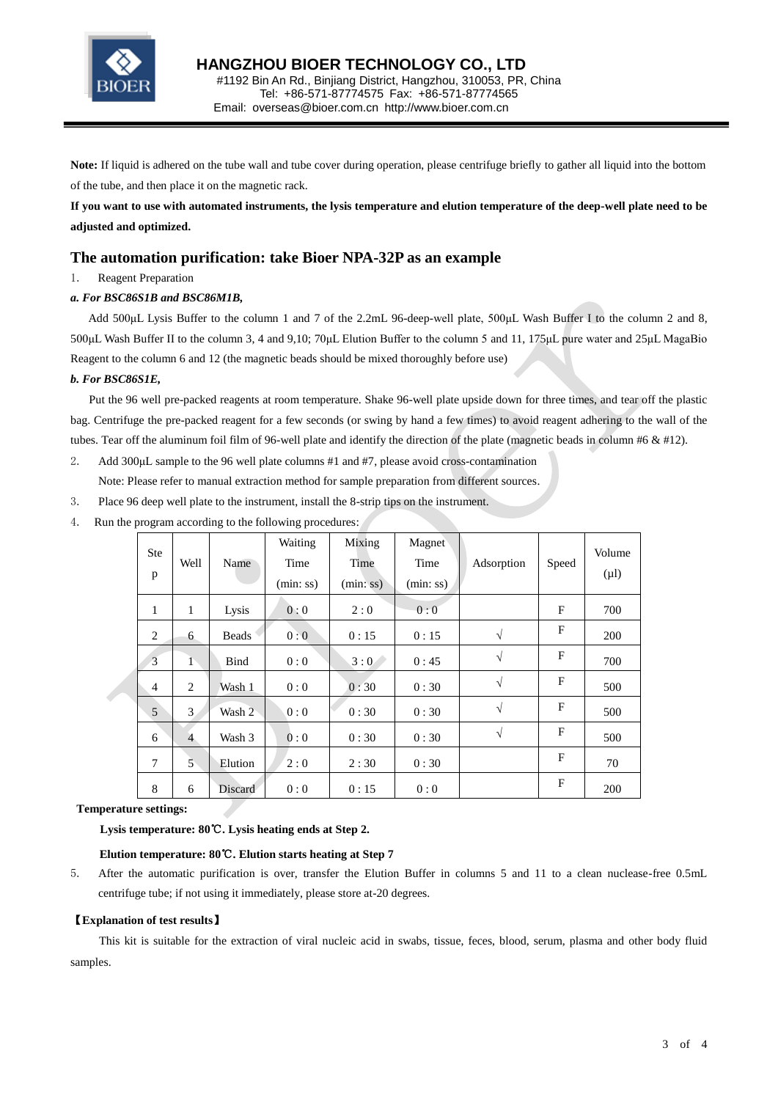

**Note:** If liquid is adhered on the tube wall and tube cover during operation, please centrifuge briefly to gather all liquid into the bottom of the tube, and then place it on the magnetic rack.

**If you want to use with automated instruments, the lysis temperature and elution temperature of the deep-well plate need to be adjusted and optimized.**

## **The automation purification: take Bioer NPA-32P as an example**

1. Reagent Preparation

### *a. For BSC86S1B and BSC86M1B,*

 Add 500μL Lysis Buffer to the column 1 and 7 of the 2.2mL 96-deep-well plate, 500μL Wash Buffer I to the column 2 and 8, 500μL Wash Buffer II to the column 3, 4 and 9,10; 70μL Elution Buffer to the column 5 and 11, 175μL pure water and 25μL MagaBio Reagent to the column 6 and 12 (the magnetic beads should be mixed thoroughly before use)

#### *b. For BSC86S1E,*

Put the 96 well pre-packed reagents at room temperature. Shake 96-well plate upside down for three times, and tear off the plastic bag. Centrifuge the pre-packed reagent for a few seconds (or swing by hand a few times) to avoid reagent adhering to the wall of the tubes. Tear off the aluminum foil film of 96-well plate and identify the direction of the plate (magnetic beads in column #6 & #12).

- 2. Add 300µL sample to the 96 well plate columns #1 and #7, please avoid cross-contamination Note: Please refer to manual extraction method for sample preparation from different sources.
- 3. Place 96 deep well plate to the instrument, install the 8-strip tips on the instrument.
- 4. Run the program according to the following procedures:

|  | <b>Ste</b><br>p | Well           | Name         | Waiting<br>Time<br>(min:ss) | Mixing<br>Time<br>(min:ss) | Magnet<br>Time<br>(min:ss) | Adsorption | Speed | Volume<br>$(\mu l)$ |
|--|-----------------|----------------|--------------|-----------------------------|----------------------------|----------------------------|------------|-------|---------------------|
|  | 1               | 1              | Lysis        | 0:0                         | 2:0                        | 0:0                        |            | F     | 700                 |
|  | 2               | 6              | <b>Beads</b> | 0:0                         | 0:15                       | 0:15                       | $\sqrt{}$  | F     | 200                 |
|  | 3               | 1              | Bind         | 0:0                         | 3:0                        | 0:45                       | $\sqrt{ }$ | F     | 700                 |
|  | 4               | $\overline{2}$ | Wash 1       | 0:0                         | 0:30                       | 0:30                       | $\sqrt{}$  | F     | 500                 |
|  | 5               | 3              | Wash 2       | 0:0                         | 0:30                       | 0:30                       | $\sqrt{ }$ | F     | 500                 |
|  | 6               | $\overline{4}$ | Wash 3       | 0:0                         | 0:30                       | 0:30                       | $\sqrt{ }$ | F     | 500                 |
|  | 7               | 5              | Elution      | 2:0                         | 2:30                       | 0:30                       |            | F     | 70                  |
|  | 8               | 6              | Discard      | 0:0                         | 0:15                       | 0:0                        |            | F     | 200                 |

#### **Temperature settings:**

#### **Lysis temperature: 80**℃**. Lysis heating ends at Step 2.**

#### **Elution temperature: 80**℃**. Elution starts heating at Step 7**

5. After the automatic purification is over, transfer the Elution Buffer in columns 5 and 11 to a clean nuclease-free 0.5mL centrifuge tube; if not using it immediately, please store at-20 degrees.

#### 【**Explanation of test results**】

This kit is suitable for the extraction of viral nucleic acid in swabs, tissue, feces, blood, serum, plasma and other body fluid samples.